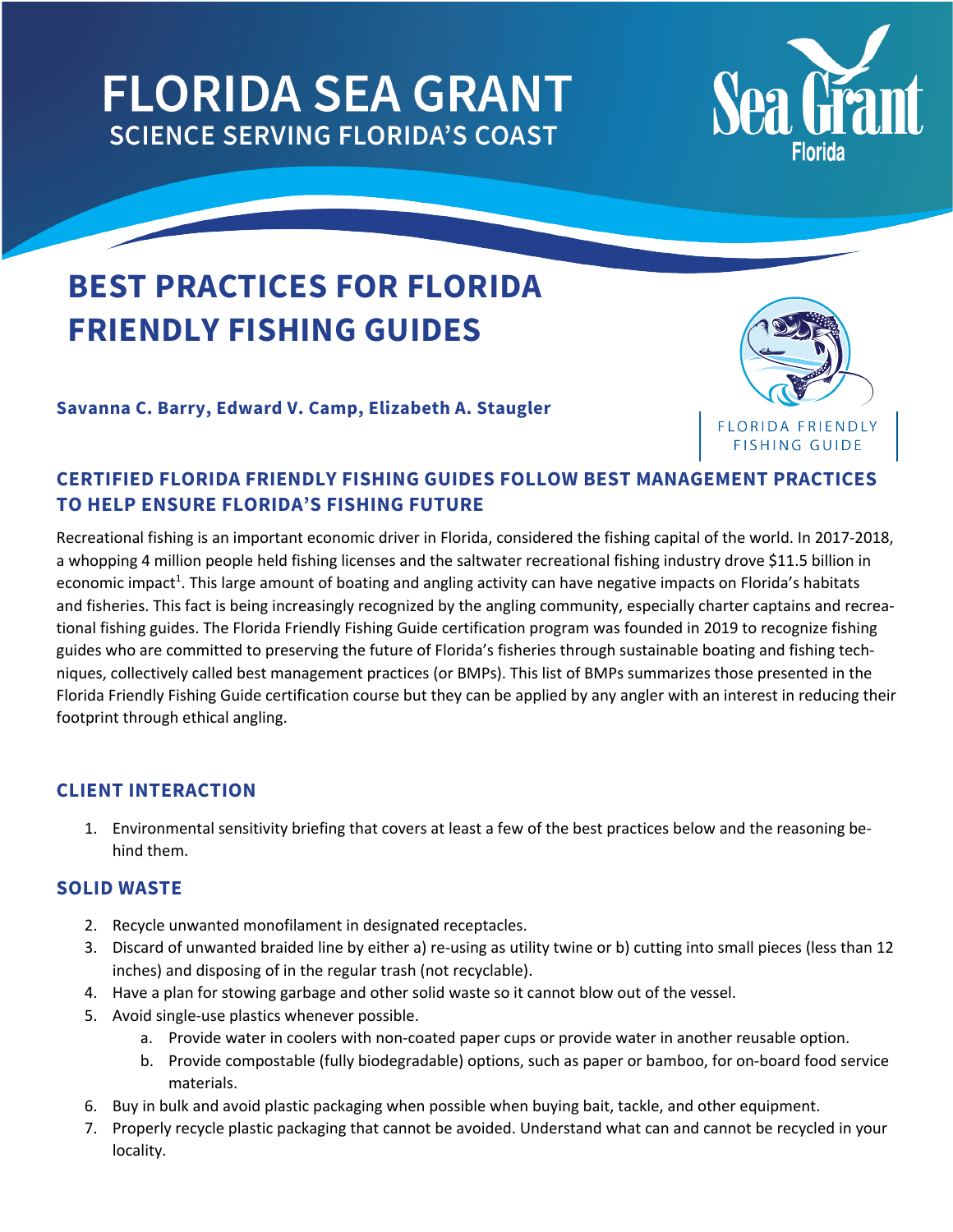# **FLORIDA SEA GRANT SCIENCE SERVING FLORIDA'S COAST**



# **BEST PRACTICES FOR FLORIDA FRIENDLY FISHING GUIDES**

**Savanna C. Barry, Edward V. Camp, Elizabeth A. Staugler**



# **CERTIFIED FLORIDA FRIENDLY FISHING GUIDES FOLLOW BEST MANAGEMENT PRACTICES TO HELP ENSURE FLORIDA'S FISHING FUTURE**

Recreational fishing is an important economic driver in Florida, considered the fishing capital of the world. In 2017-2018, a whopping 4 million people held fishing licenses and the saltwater recreational fishing industry drove \$11.5 billion in economic impact<sup>1</sup>. This large amount of boating and angling activity can have negative impacts on Florida's habitats and fisheries. This fact is being increasingly recognized by the angling community, especially charter captains and recreational fishing guides. The Florida Friendly Fishing Guide certification program was founded in 2019 to recognize fishing guides who are committed to preserving the future of Florida's fisheries through sustainable boating and fishing techniques, collectively called best management practices (or BMPs). This list of BMPs summarizes those presented in the Florida Friendly Fishing Guide certification course but they can be applied by any angler with an interest in reducing their footprint through ethical angling.

# **CLIENT INTERACTION**

1. Environmental sensitivity briefing that covers at least a few of the best practices below and the reasoning behind them.

# **SOLID WASTE**

- 2. Recycle unwanted monofilament in designated receptacles.
- 3. Discard of unwanted braided line by either a) re-using as utility twine or b) cutting into small pieces (less than 12 inches) and disposing of in the regular trash (not recyclable).
- 4. Have a plan for stowing garbage and other solid waste so it cannot blow out of the vessel.
- 5. Avoid single-use plastics whenever possible.
	- a. Provide water in coolers with non-coated paper cups or provide water in another reusable option.
	- b. Provide compostable (fully biodegradable) options, such as paper or bamboo, for on-board food service materials.
- 6. Buy in bulk and avoid plastic packaging when possible when buying bait, tackle, and other equipment.
- 7. Properly recycle plastic packaging that cannot be avoided. Understand what can and cannot be recycled in your locality.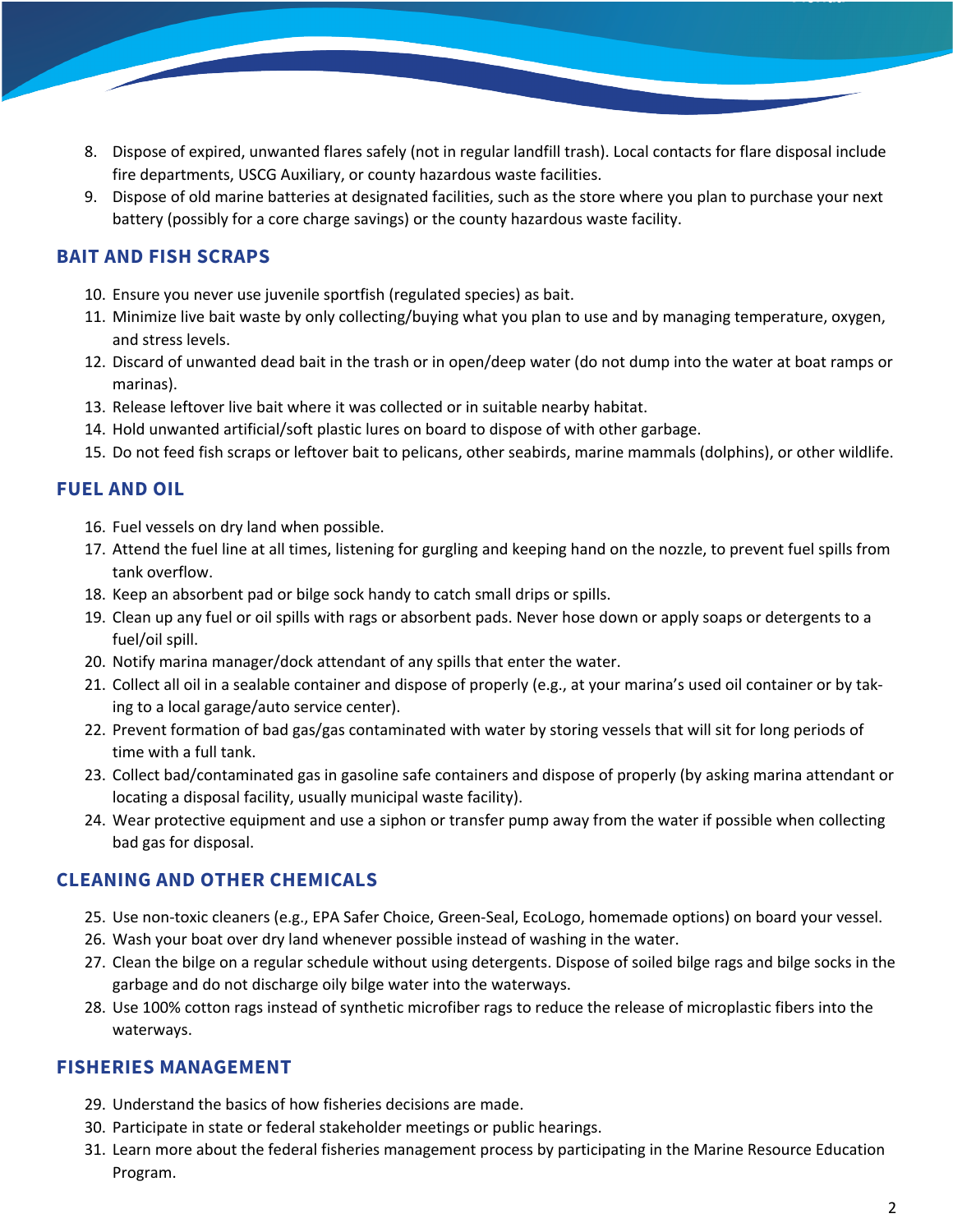- 8. Dispose of expired, unwanted flares safely (not in regular landfill trash). Local contacts for flare disposal include fire departments, USCG Auxiliary, or county hazardous waste facilities.
- 9. Dispose of old marine batteries at designated facilities, such as the store where you plan to purchase your next battery (possibly for a core charge savings) or the county hazardous waste facility.

# **BAIT AND FISH SCRAPS**

- 10. Ensure you never use juvenile sportfish (regulated species) as bait.
- 11. Minimize live bait waste by only collecting/buying what you plan to use and by managing temperature, oxygen, and stress levels.
- 12. Discard of unwanted dead bait in the trash or in open/deep water (do not dump into the water at boat ramps or marinas).
- 13. Release leftover live bait where it was collected or in suitable nearby habitat.
- 14. Hold unwanted artificial/soft plastic lures on board to dispose of with other garbage.
- 15. Do not feed fish scraps or leftover bait to pelicans, other seabirds, marine mammals (dolphins), or other wildlife.

### **FUEL AND OIL**

- 16. Fuel vessels on dry land when possible.
- 17. Attend the fuel line at all times, listening for gurgling and keeping hand on the nozzle, to prevent fuel spills from tank overflow.
- 18. Keep an absorbent pad or bilge sock handy to catch small drips or spills.
- 19. Clean up any fuel or oil spills with rags or absorbent pads. Never hose down or apply soaps or detergents to a fuel/oil spill.
- 20. Notify marina manager/dock attendant of any spills that enter the water.
- 21. Collect all oil in a sealable container and dispose of properly (e.g., at your marina's used oil container or by taking to a local garage/auto service center).
- 22. Prevent formation of bad gas/gas contaminated with water by storing vessels that will sit for long periods of time with a full tank.
- 23. Collect bad/contaminated gas in gasoline safe containers and dispose of properly (by asking marina attendant or locating a disposal facility, usually municipal waste facility).
- 24. Wear protective equipment and use a siphon or transfer pump away from the water if possible when collecting bad gas for disposal.

#### **CLEANING AND OTHER CHEMICALS**

- 25. Use non-toxic cleaners (e.g., EPA Safer Choice, Green-Seal, EcoLogo, homemade options) on board your vessel.
- 26. Wash your boat over dry land whenever possible instead of washing in the water.
- 27. Clean the bilge on a regular schedule without using detergents. Dispose of soiled bilge rags and bilge socks in the garbage and do not discharge oily bilge water into the waterways.
- 28. Use 100% cotton rags instead of synthetic microfiber rags to reduce the release of microplastic fibers into the waterways.

#### **FISHERIES MANAGEMENT**

- 29. Understand the basics of how fisheries decisions are made.
- 30. Participate in state or federal stakeholder meetings or public hearings.
- 31. Learn more about the federal fisheries management process by participating in the Marine Resource Education Program.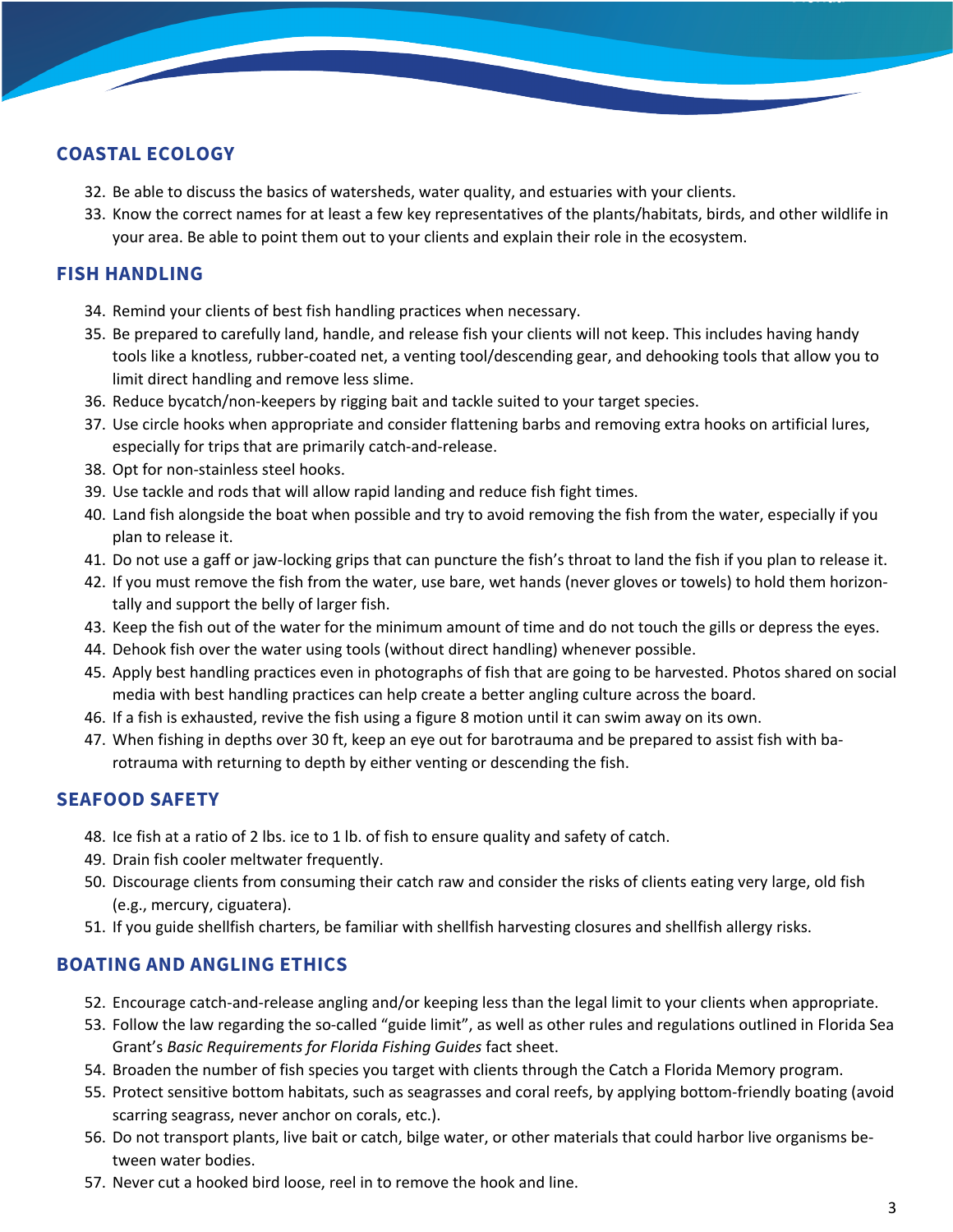# **COASTAL ECOLOGY**

- 32. Be able to discuss the basics of watersheds, water quality, and estuaries with your clients.
- 33. Know the correct names for at least a few key representatives of the plants/habitats, birds, and other wildlife in your area. Be able to point them out to your clients and explain their role in the ecosystem.

### **FISH HANDLING**

- 34. Remind your clients of best fish handling practices when necessary.
- 35. Be prepared to carefully land, handle, and release fish your clients will not keep. This includes having handy tools like a knotless, rubber-coated net, a venting tool/descending gear, and dehooking tools that allow you to limit direct handling and remove less slime.
- 36. Reduce bycatch/non-keepers by rigging bait and tackle suited to your target species.
- 37. Use circle hooks when appropriate and consider flattening barbs and removing extra hooks on artificial lures, especially for trips that are primarily catch-and-release.
- 38. Opt for non-stainless steel hooks.
- 39. Use tackle and rods that will allow rapid landing and reduce fish fight times.
- 40. Land fish alongside the boat when possible and try to avoid removing the fish from the water, especially if you plan to release it.
- 41. Do not use a gaff or jaw-locking grips that can puncture the fish's throat to land the fish if you plan to release it.
- 42. If you must remove the fish from the water, use bare, wet hands (never gloves or towels) to hold them horizontally and support the belly of larger fish.
- 43. Keep the fish out of the water for the minimum amount of time and do not touch the gills or depress the eyes.
- 44. Dehook fish over the water using tools (without direct handling) whenever possible.
- 45. Apply best handling practices even in photographs of fish that are going to be harvested. Photos shared on social media with best handling practices can help create a better angling culture across the board.
- 46. If a fish is exhausted, revive the fish using a figure 8 motion until it can swim away on its own.
- 47. When fishing in depths over 30 ft, keep an eye out for barotrauma and be prepared to assist fish with barotrauma with returning to depth by either venting or descending the fish.

# **SEAFOOD SAFETY**

- 48. Ice fish at a ratio of 2 lbs. ice to 1 lb. of fish to ensure quality and safety of catch.
- 49. Drain fish cooler meltwater frequently.
- 50. Discourage clients from consuming their catch raw and consider the risks of clients eating very large, old fish (e.g., mercury, ciguatera).
- 51. If you guide shellfish charters, be familiar with shellfish harvesting closures and shellfish allergy risks.

# **BOATING AND ANGLING ETHICS**

- 52. Encourage catch-and-release angling and/or keeping less than the legal limit to your clients when appropriate.
- 53. Follow the law regarding the so-called "guide limit", as well as other rules and regulations outlined in Florida Sea Grant's *Basic Requirements for Florida Fishing Guides* fact sheet.
- 54. Broaden the number of fish species you target with clients through the Catch a Florida Memory program.
- 55. Protect sensitive bottom habitats, such as seagrasses and coral reefs, by applying bottom-friendly boating (avoid scarring seagrass, never anchor on corals, etc.).
- 56. Do not transport plants, live bait or catch, bilge water, or other materials that could harbor live organisms between water bodies.
- 57. Never cut a hooked bird loose, reel in to remove the hook and line.